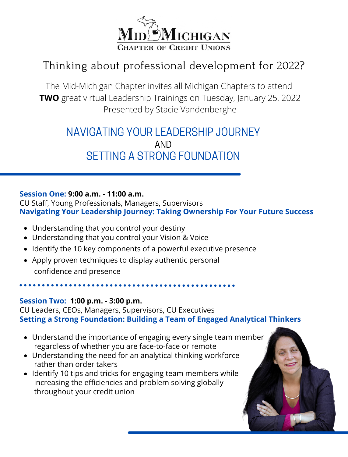

## Thinking about professional development for 2022?

The Mid-Michigan Chapter invites all Michigan Chapters to attend **TWO** great virtual Leadership Trainings on Tuesday, January 25, 2022 Presented by Stacie Vandenberghe

## NAVIGATING YOUR LEADERSHIP JOURNEY AND SETTING A STRONG FOUNDATION

## **Session One: 9:00 a.m. - 11:00 a.m.**

CU Staff, Young Professionals, Managers, Supervisors **Navigating Your Leadership Journey: Taking Ownership For Your Future Success**

- Understanding that you control your destiny
- Understanding that you control your Vision & Voice
- Identify the 10 key components of a powerful executive presence
- Apply proven techniques to display authentic personal confidence and presence

**Session Two: 1:00 p.m. - 3:00 p.m.**

CU Leaders, CEOs, Managers, Supervisors, CU Executives **Setting a Strong Foundation: Building a Team of Engaged Analytical Thinkers**

- Understand the importance of engaging every single team member regardless of whether you are face-to-face or remote
- Understanding the need for an analytical thinking workforce rather than order takers
- Identify 10 tips and tricks for engaging team members while increasing the efficiencies and problem solving globally throughout your credit union